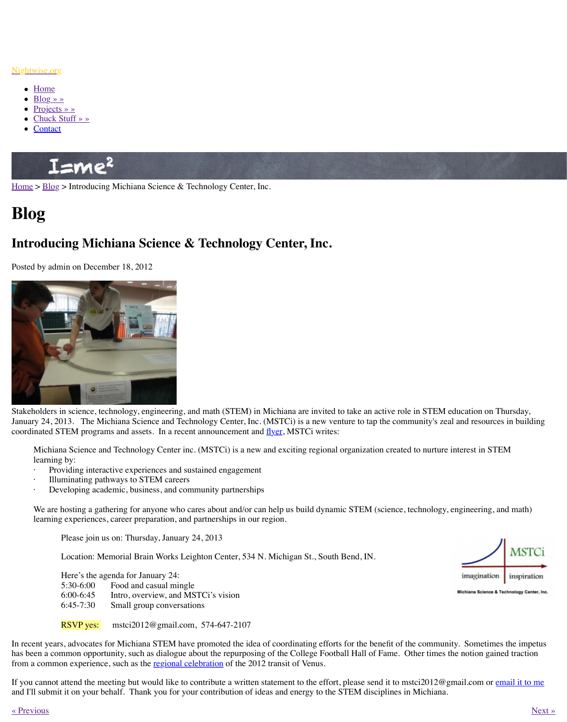

Stake[holders i](http://www.nightwise.org/contact/)[n scienc](http://www.nightwise.org/chuck-stuff/)e, technology, engineering, and math (STEM) in Michiana are invited January 24, 2013. The Michiana Science and Technology Center, Inc. (MSTCi) is a new ve coordinated STEM programs and assets. In a recent announcement and  $\frac{f}{f}$  MSTCi writes

Michiana Science and Technology Center inc. (MSTCi) is a new and exciting regional learning by:

- [Pro](http://www.nightwise.org/blog/)viding interactive experiences and sustained engagement
- Illuminating pathways to STEM careers
- Developing academic, business, and community partnerships

We are hosting a gathering for anyone who cares about and/or can help us build dynamic STEM (science, technology, technology, technology, technology, we are help used in the math) learning experiences, career preparation, and partnerships in our region.

Please join us on: Thursday, January 24, 2013

Location: Memorial Brain Works Leighton Center, 534 N. Michigan St., South

| Here's the agenda for January 24: |                                     |
|-----------------------------------|-------------------------------------|
| 5:30-6:00                         | Food and casual mingle              |
| $6:00-6:45$                       | Intro, overview, and MSTCi's vision |
| $6:45-7:30$                       | Small group conversations           |
|                                   |                                     |

RSVP yes: mstci2012@gmail.com, 574-647-2107

In recent years, advocates for Michiana STEM have promoted the idea of coordinating effor has been a common opportunity, such as dialogue about the repurposing of the College Foot from a common experience, such as the regional celebration of the 2012 transit of Venus.

If you cannot attend the meeting but would like to contribute a written statement to the effor and I'll submit it on your behalf. Thank you for your contribution of ideas and energy to the

« Previous » Next » Next » Next » Next » Next » Next » Next » Next » Next » Next » Next » Next » Next » Next » Next » Next » Next » Next » Next » Next » Next » Next » Next » Next » Next » Next » Next » Next » Next » Next »